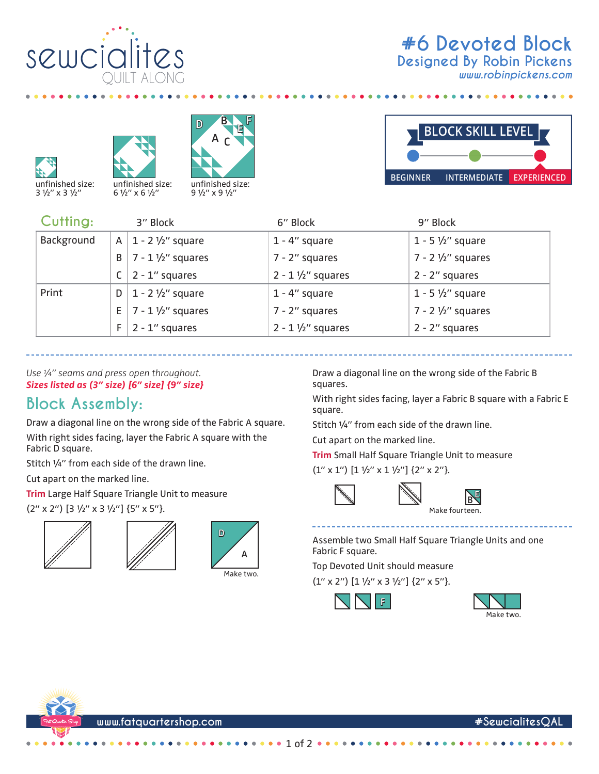

*www.robinpickens.com*







9 1/2" x 9 1/2"



| Cutting:   |    | 3" Block                         | 6" Block                    | 9" Block                    |
|------------|----|----------------------------------|-----------------------------|-----------------------------|
| Background |    | A   $1 - 2 \frac{1}{2}$ square   | $1 - 4$ " square            | $1 - 5 \frac{1}{2}$ square  |
|            | B  | $7 - 1\frac{1}{2}$ squares       | $7 - 2$ " squares           | $7 - 2 \frac{1}{2}$ squares |
|            |    | $2 - 1$ " squares                | $2 - 1 \frac{1}{2}$ squares | $2 - 2''$ squares           |
| Print      |    | D   1 - 2 $\frac{1}{2}$ " square | $1 - 4$ " square            | $1 - 5 \frac{1}{2}$ square  |
|            | E. | $7 - 1\frac{1}{2}$ squares       | $7 - 2$ " squares           | $7 - 2 \frac{1}{2}$ squares |
|            | F. | $2 - 1$ " squares                | $2 - 1 \frac{1}{2}$ squares | $2 - 2$ " squares           |

squares.

square.

*Use ¼" seams and press open throughout. Sizes listed as (3" size) [6" size] {9" size}*

## **Block Assembly:**

Draw a diagonal line on the wrong side of the Fabric A square. With right sides facing, layer the Fabric A square with the Fabric D square.

Stitch ¼" from each side of the drawn line.

Cut apart on the marked line.

**Trim** Large Half Square Triangle Unit to measure

(2" x 2") [3 1/2" x 3 1/2"] {5" x 5"}.







Assemble two Small Half Square Triangle Units and one Fabric F square.

Make fourteen.

**B E**

Draw a diagonal line on the wrong side of the Fabric B

Stitch ¼" from each side of the drawn line.

**Trim** Small Half Square Triangle Unit to measure

Cut apart on the marked line.

 $(1'' \times 1'')$   $[1 \frac{1}{2}'' \times 1 \frac{1}{2}'']$   $\{2'' \times 2''\}$ .

With right sides facing, layer a Fabric B square with a Fabric E

Top Devoted Unit should measure

 $(1'' \times 2'')$   $[1 \frac{1}{2}'' \times 3 \frac{1}{2}'']$   $\{2'' \times 5''\}$ .







**www.fatquartershop.com #SewcialitesQAL**